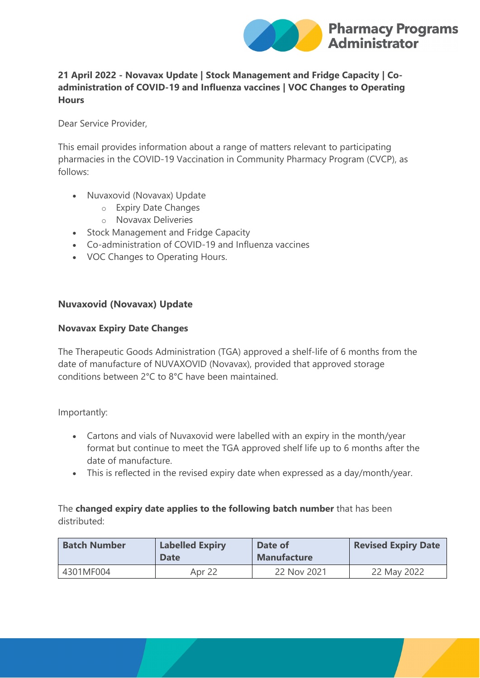

# **21 April 2022 - Novavax Update | Stock Management and Fridge Capacity | Coadministration of COVID-19 and Influenza vaccines | VOC Changes to Operating Hours**

Dear Service Provider,

This email provides information about a range of matters relevant to participating pharmacies in the COVID-19 Vaccination in Community Pharmacy Program (CVCP), as follows:

- Nuvaxovid (Novavax) Update
	- o Expiry Date Changes
	- o Novavax Deliveries
- Stock Management and Fridge Capacity
- Co-administration of COVID-19 and Influenza vaccines
- VOC Changes to Operating Hours.

## **Nuvaxovid (Novavax) Update**

#### **Novavax Expiry Date Changes**

The Therapeutic Goods Administration (TGA) approved a shelf-life of 6 months from the date of manufacture of NUVAXOVID (Novavax), provided that approved storage conditions between 2°C to 8°C have been maintained.

Importantly:

- Cartons and vials of Nuvaxovid were labelled with an expiry in the month/year format but continue to meet the TGA approved shelf life up to 6 months after the date of manufacture.
- This is reflected in the revised expiry date when expressed as a day/month/year.

# The **changed expiry date applies to the following batch number** that has been distributed:

| <b>Batch Number</b> | <b>Labelled Expiry</b><br><b>Date</b> | Date of<br><b>Manufacture</b> | <b>Revised Expiry Date</b> |
|---------------------|---------------------------------------|-------------------------------|----------------------------|
| 4301MF004           | Apr 22                                | 22 Nov 2021                   | 22 May 2022                |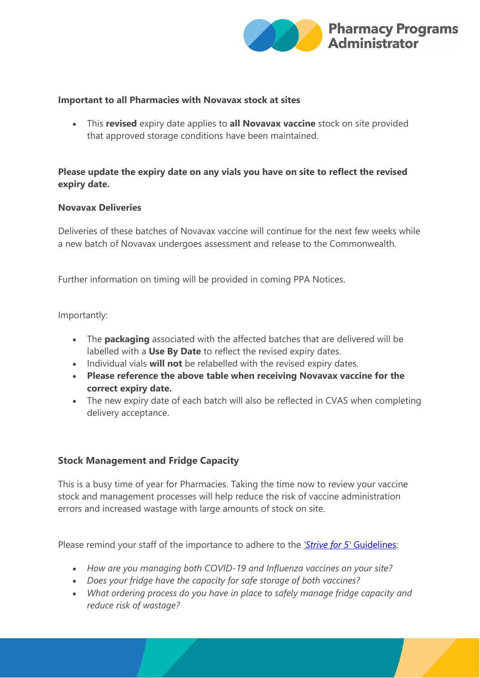

#### **Important to all Pharmacies with Novavax stock at sites**

• This **revised** expiry date applies to **all Novavax vaccine** stock on site provided that approved storage conditions have been maintained.

## **Please update the expiry date on any vials you have on site to reflect the revised expiry date.**

### **Novavax Deliveries**

Deliveries of these batches of Novavax vaccine will continue for the next few weeks while a new batch of Novavax undergoes assessment and release to the Commonwealth.

Further information on timing will be provided in coming PPA Notices.

Importantly:

- The **packaging** associated with the affected batches that are delivered will be labelled with a **Use By Date** to reflect the revised expiry dates.
- Individual vials **will not** be relabelled with the revised expiry dates.
- **Please reference the above table when receiving Novavax vaccine for the correct expiry date.**
- The new expiry date of each batch will also be reflected in CVAS when completing delivery acceptance.

### **Stock Management and Fridge Capacity**

This is a busy time of year for Pharmacies. Taking the time now to review your vaccine stock and management processes will help reduce the risk of vaccine administration errors and increased wastage with large amounts of stock on site.

Please remind your staff of the importance to adhere to the *['Strive for 5'](https://protect-au.mimecast.com/s/ri44C3QN8wuR8nphq0k7t?domain=health.gov.au)* Guidelines:

- *How are you managing both COVID-19 and Influenza vaccines on your site?*
- *Does your fridge have the capacity for safe storage of both vaccines?*
- *What ordering process do you have in place to safely manage fridge capacity and reduce risk of wastage?*